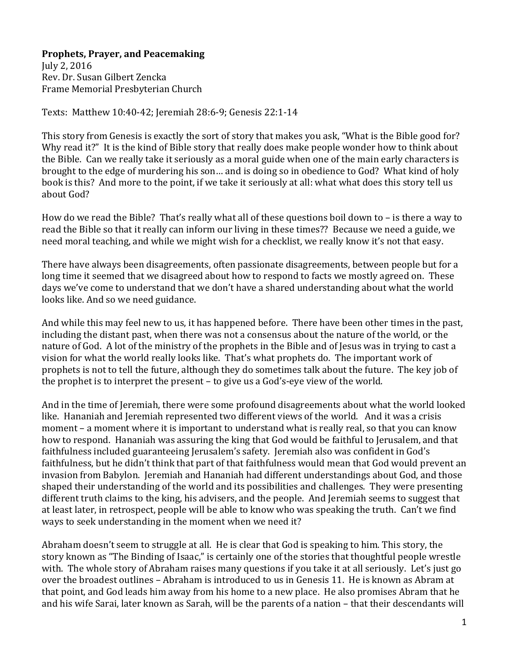## **Prophets, Prayer, and Peacemaking**

July 2, 2016 Rev. Dr. Susan Gilbert Zencka Frame Memorial Presbyterian Church

Texts: Matthew 10:40-42; Jeremiah 28:6-9; Genesis 22:1-14

This story from Genesis is exactly the sort of story that makes you ask, "What is the Bible good for? Why read it?" It is the kind of Bible story that really does make people wonder how to think about the Bible. Can we really take it seriously as a moral guide when one of the main early characters is brought to the edge of murdering his son… and is doing so in obedience to God? What kind of holy book is this? And more to the point, if we take it seriously at all: what what does this story tell us about God?

How do we read the Bible? That's really what all of these questions boil down to – is there a way to read the Bible so that it really can inform our living in these times?? Because we need a guide, we need moral teaching, and while we might wish for a checklist, we really know it's not that easy.

There have always been disagreements, often passionate disagreements, between people but for a long time it seemed that we disagreed about how to respond to facts we mostly agreed on. These days we've come to understand that we don't have a shared understanding about what the world looks like. And so we need guidance.

And while this may feel new to us, it has happened before. There have been other times in the past, including the distant past, when there was not a consensus about the nature of the world, or the nature of God. A lot of the ministry of the prophets in the Bible and of Jesus was in trying to cast a vision for what the world really looks like. That's what prophets do. The important work of prophets is not to tell the future, although they do sometimes talk about the future. The key job of the prophet is to interpret the present – to give us a God's-eye view of the world.

And in the time of Jeremiah, there were some profound disagreements about what the world looked like. Hananiah and Jeremiah represented two different views of the world. And it was a crisis moment – a moment where it is important to understand what is really real, so that you can know how to respond. Hananiah was assuring the king that God would be faithful to Jerusalem, and that faithfulness included guaranteeing Jerusalem's safety. Jeremiah also was confident in God's faithfulness, but he didn't think that part of that faithfulness would mean that God would prevent an invasion from Babylon. Jeremiah and Hananiah had different understandings about God, and those shaped their understanding of the world and its possibilities and challenges. They were presenting different truth claims to the king, his advisers, and the people. And Jeremiah seems to suggest that at least later, in retrospect, people will be able to know who was speaking the truth. Can't we find ways to seek understanding in the moment when we need it?

Abraham doesn't seem to struggle at all. He is clear that God is speaking to him. This story, the story known as "The Binding of Isaac," is certainly one of the stories that thoughtful people wrestle with. The whole story of Abraham raises many questions if you take it at all seriously. Let's just go over the broadest outlines – Abraham is introduced to us in Genesis 11. He is known as Abram at that point, and God leads him away from his home to a new place. He also promises Abram that he and his wife Sarai, later known as Sarah, will be the parents of a nation – that their descendants will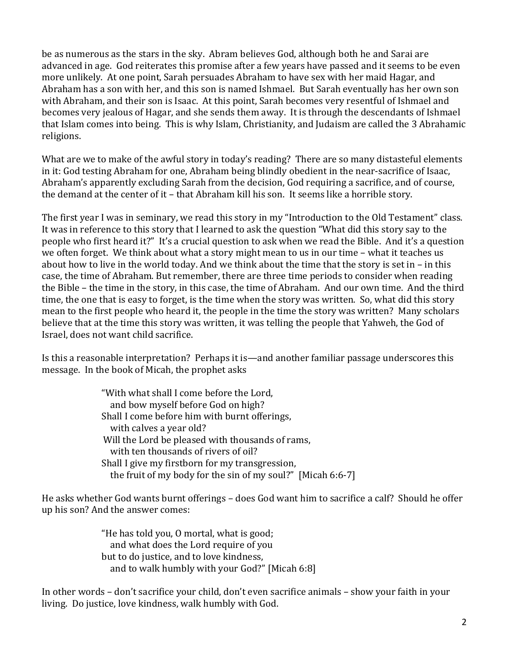be as numerous as the stars in the sky. Abram believes God, although both he and Sarai are advanced in age. God reiterates this promise after a few years have passed and it seems to be even more unlikely. At one point, Sarah persuades Abraham to have sex with her maid Hagar, and Abraham has a son with her, and this son is named Ishmael. But Sarah eventually has her own son with Abraham, and their son is Isaac. At this point, Sarah becomes very resentful of Ishmael and becomes very jealous of Hagar, and she sends them away. It is through the descendants of Ishmael that Islam comes into being. This is why Islam, Christianity, and Judaism are called the 3 Abrahamic religions.

What are we to make of the awful story in today's reading? There are so many distasteful elements in it: God testing Abraham for one, Abraham being blindly obedient in the near-sacrifice of Isaac, Abraham's apparently excluding Sarah from the decision, God requiring a sacrifice, and of course, the demand at the center of it – that Abraham kill his son. It seems like a horrible story.

The first year I was in seminary, we read this story in my "Introduction to the Old Testament" class. It was in reference to this story that I learned to ask the question "What did this story say to the people who first heard it?" It's a crucial question to ask when we read the Bible. And it's a question we often forget. We think about what a story might mean to us in our time – what it teaches us about how to live in the world today. And we think about the time that the story is set in – in this case, the time of Abraham. But remember, there are three time periods to consider when reading the Bible – the time in the story, in this case, the time of Abraham. And our own time. And the third time, the one that is easy to forget, is the time when the story was written. So, what did this story mean to the first people who heard it, the people in the time the story was written? Many scholars believe that at the time this story was written, it was telling the people that Yahweh, the God of Israel, does not want child sacrifice.

Is this a reasonable interpretation? Perhaps it is—and another familiar passage underscores this message. In the book of Micah, the prophet asks

> "With what shall I come before the Lord, and bow myself before God on high? Shall I come before him with burnt offerings, with calves a year old? Will the Lord be pleased with thousands of rams, with ten thousands of rivers of oil? Shall I give my firstborn for my transgression, the fruit of my body for the sin of my soul?" [Micah 6:6-7]

He asks whether God wants burnt offerings – does God want him to sacrifice a calf? Should he offer up his son? And the answer comes:

> "He has told you, O mortal, what is good; and what does the Lord require of you but to do justice, and to love kindness, and to walk humbly with your God?" [Micah 6:8]

In other words – don't sacrifice your child, don't even sacrifice animals – show your faith in your living. Do justice, love kindness, walk humbly with God.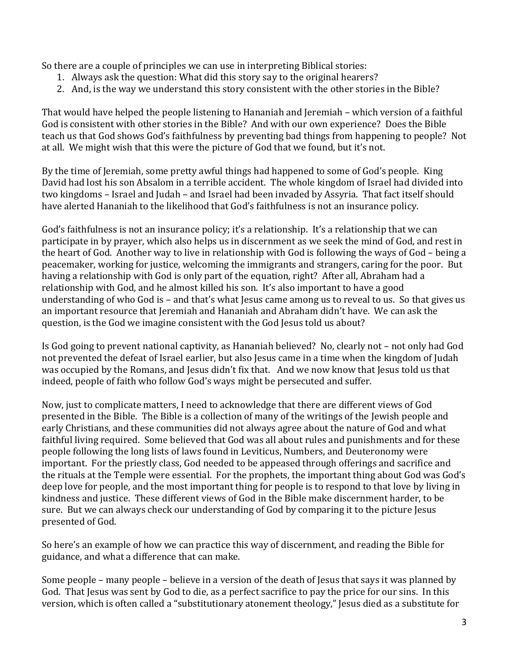So there are a couple of principles we can use in interpreting Biblical stories:

- 1. Always ask the question: What did this story say to the original hearers?
- 2. And, is the way we understand this story consistent with the other stories in the Bible?

That would have helped the people listening to Hananiah and Jeremiah – which version of a faithful God is consistent with other stories in the Bible? And with our own experience? Does the Bible teach us that God shows God's faithfulness by preventing bad things from happening to people? Not at all. We might wish that this were the picture of God that we found, but it's not.

By the time of Jeremiah, some pretty awful things had happened to some of God's people. King David had lost his son Absalom in a terrible accident. The whole kingdom of Israel had divided into two kingdoms – Israel and Judah – and Israel had been invaded by Assyria. That fact itself should have alerted Hananiah to the likelihood that God's faithfulness is not an insurance policy.

God's faithfulness is not an insurance policy; it's a relationship. It's a relationship that we can participate in by prayer, which also helps us in discernment as we seek the mind of God, and rest in the heart of God. Another way to live in relationship with God is following the ways of God – being a peacemaker, working for justice, welcoming the immigrants and strangers, caring for the poor. But having a relationship with God is only part of the equation, right? After all, Abraham had a relationship with God, and he almost killed his son. It's also important to have a good understanding of who God is – and that's what Jesus came among us to reveal to us. So that gives us an important resource that Jeremiah and Hananiah and Abraham didn't have. We can ask the question, is the God we imagine consistent with the God Jesus told us about?

Is God going to prevent national captivity, as Hananiah believed? No, clearly not – not only had God not prevented the defeat of Israel earlier, but also Jesus came in a time when the kingdom of Judah was occupied by the Romans, and Jesus didn't fix that. And we now know that Jesus told us that indeed, people of faith who follow God's ways might be persecuted and suffer.

Now, just to complicate matters, I need to acknowledge that there are different views of God presented in the Bible. The Bible is a collection of many of the writings of the Jewish people and early Christians, and these communities did not always agree about the nature of God and what faithful living required. Some believed that God was all about rules and punishments and for these people following the long lists of laws found in Leviticus, Numbers, and Deuteronomy were important. For the priestly class, God needed to be appeased through offerings and sacrifice and the rituals at the Temple were essential. For the prophets, the important thing about God was God's deep love for people, and the most important thing for people is to respond to that love by living in kindness and justice. These different views of God in the Bible make discernment harder, to be sure. But we can always check our understanding of God by comparing it to the picture Jesus presented of God.

So here's an example of how we can practice this way of discernment, and reading the Bible for guidance, and what a difference that can make.

Some people – many people – believe in a version of the death of Jesus that says it was planned by God. That Jesus was sent by God to die, as a perfect sacrifice to pay the price for our sins. In this version, which is often called a "substitutionary atonement theology," Jesus died as a substitute for